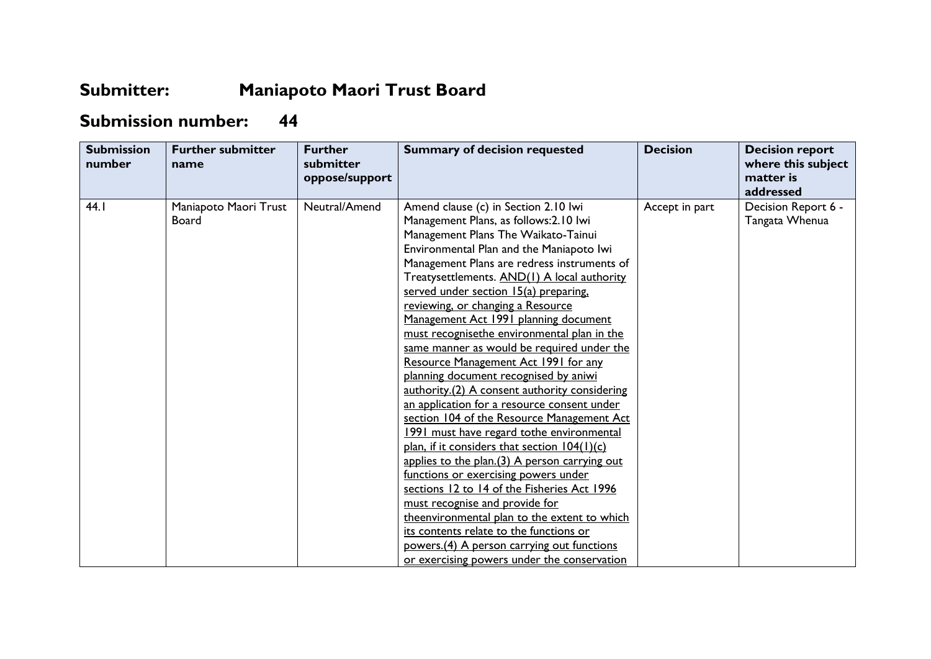## **Submitter: Maniapoto Maori Trust Board**

## **Submission number: 44**

| <b>Submission</b><br>number | <b>Further submitter</b><br>name      | <b>Further</b><br>submitter<br>oppose/support | <b>Summary of decision requested</b>                                                                                                                                                                                                                                                                                                                                                                                                                                                                                                                                                                                                                                                                                                                                                                                                                                                                                                                                                                                                                                                                                                                                               | <b>Decision</b> | <b>Decision report</b><br>where this subject<br>matter is<br>addressed |
|-----------------------------|---------------------------------------|-----------------------------------------------|------------------------------------------------------------------------------------------------------------------------------------------------------------------------------------------------------------------------------------------------------------------------------------------------------------------------------------------------------------------------------------------------------------------------------------------------------------------------------------------------------------------------------------------------------------------------------------------------------------------------------------------------------------------------------------------------------------------------------------------------------------------------------------------------------------------------------------------------------------------------------------------------------------------------------------------------------------------------------------------------------------------------------------------------------------------------------------------------------------------------------------------------------------------------------------|-----------------|------------------------------------------------------------------------|
| 44.1                        | Maniapoto Maori Trust<br><b>Board</b> | Neutral/Amend                                 | Amend clause (c) in Section 2.10 lwi<br>Management Plans, as follows: 2.10 lwi<br>Management Plans The Waikato-Tainui<br>Environmental Plan and the Maniapoto Iwi<br>Management Plans are redress instruments of<br>Treatysettlements. AND(1) A local authority<br>served under section 15(a) preparing.<br>reviewing, or changing a Resource<br>Management Act 1991 planning document<br>must recognisethe environmental plan in the<br>same manner as would be required under the<br>Resource Management Act 1991 for any<br>planning document recognised by aniwi<br>authority.(2) A consent authority considering<br>an application for a resource consent under<br>section 104 of the Resource Management Act<br>1991 must have regard tothe environmental<br>plan, if it considers that section 104(1)(c)<br>applies to the plan.(3) A person carrying out<br>functions or exercising powers under<br>sections 12 to 14 of the Fisheries Act 1996<br>must recognise and provide for<br>theenvironmental plan to the extent to which<br>its contents relate to the functions or<br>powers. (4) A person carrying out functions<br>or exercising powers under the conservation | Accept in part  | Decision Report 6 -<br>Tangata Whenua                                  |